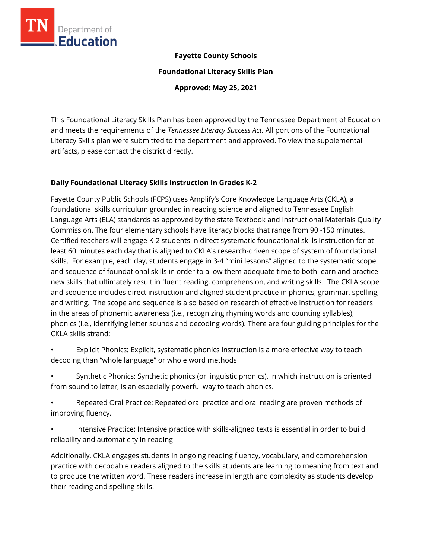

### **Fayette County Schools**

**Foundational Literacy Skills Plan**

**Approved: May 25, 2021**

This Foundational Literacy Skills Plan has been approved by the Tennessee Department of Education and meets the requirements of the *Tennessee Literacy Success Act.* All portions of the Foundational Literacy Skills plan were submitted to the department and approved. To view the supplemental artifacts, please contact the district directly.

### **Daily Foundational Literacy Skills Instruction in Grades K-2**

Fayette County Public Schools (FCPS) uses Amplify's Core Knowledge Language Arts (CKLA), a foundational skills curriculum grounded in reading science and aligned to Tennessee English Language Arts (ELA) standards as approved by the state Textbook and Instructional Materials Quality Commission. The four elementary schools have literacy blocks that range from 90 -150 minutes. Certified teachers will engage K-2 students in direct systematic foundational skills instruction for at least 60 minutes each day that is aligned to CKLA's research-driven scope of system of foundational skills. For example, each day, students engage in 3-4 "mini lessons" aligned to the systematic scope and sequence of foundational skills in order to allow them adequate time to both learn and practice new skills that ultimately result in fluent reading, comprehension, and writing skills. The CKLA scope and sequence includes direct instruction and aligned student practice in phonics, grammar, spelling, and writing. The scope and sequence is also based on research of effective instruction for readers in the areas of phonemic awareness (i.e., recognizing rhyming words and counting syllables), phonics (i.e., identifying letter sounds and decoding words). There are four guiding principles for the CKLA skills strand:

- Explicit Phonics: Explicit, systematic phonics instruction is a more effective way to teach decoding than "whole language" or whole word methods
- Synthetic Phonics: Synthetic phonics (or linguistic phonics), in which instruction is oriented from sound to letter, is an especially powerful way to teach phonics.
- Repeated Oral Practice: Repeated oral practice and oral reading are proven methods of improving fluency.
- Intensive Practice: Intensive practice with skills-aligned texts is essential in order to build reliability and automaticity in reading

Additionally, CKLA engages students in ongoing reading fluency, vocabulary, and comprehension practice with decodable readers aligned to the skills students are learning to meaning from text and to produce the written word. These readers increase in length and complexity as students develop their reading and spelling skills.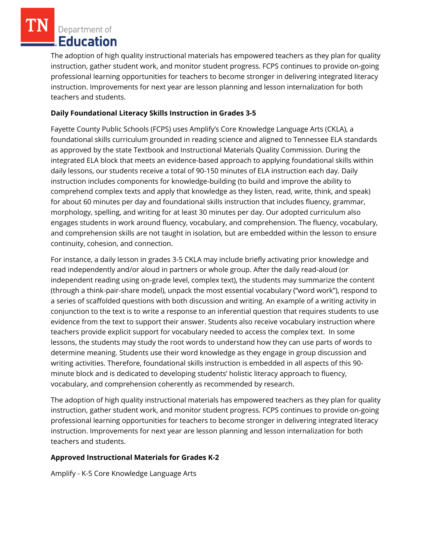The adoption of high quality instructional materials has empowered teachers as they plan for quality instruction, gather student work, and monitor student progress. FCPS continues to provide on-going professional learning opportunities for teachers to become stronger in delivering integrated literacy instruction. Improvements for next year are lesson planning and lesson internalization for both teachers and students.

## **Daily Foundational Literacy Skills Instruction in Grades 3-5**

Fayette County Public Schools (FCPS) uses Amplify's Core Knowledge Language Arts (CKLA), a foundational skills curriculum grounded in reading science and aligned to Tennessee ELA standards as approved by the state Textbook and Instructional Materials Quality Commission. During the integrated ELA block that meets an evidence-based approach to applying foundational skills within daily lessons, our students receive a total of 90-150 minutes of ELA instruction each day. Daily instruction includes components for knowledge-building (to build and improve the ability to comprehend complex texts and apply that knowledge as they listen, read, write, think, and speak) for about 60 minutes per day and foundational skills instruction that includes fluency, grammar, morphology, spelling, and writing for at least 30 minutes per day. Our adopted curriculum also engages students in work around fluency, vocabulary, and comprehension. The fluency, vocabulary, and comprehension skills are not taught in isolation, but are embedded within the lesson to ensure continuity, cohesion, and connection.

For instance, a daily lesson in grades 3-5 CKLA may include briefly activating prior knowledge and read independently and/or aloud in partners or whole group. After the daily read-aloud (or independent reading using on-grade level, complex text), the students may summarize the content (through a think-pair-share model), unpack the most essential vocabulary ("word work"), respond to a series of scaffolded questions with both discussion and writing. An example of a writing activity in conjunction to the text is to write a response to an inferential question that requires students to use evidence from the text to support their answer. Students also receive vocabulary instruction where teachers provide explicit support for vocabulary needed to access the complex text. In some lessons, the students may study the root words to understand how they can use parts of words to determine meaning. Students use their word knowledge as they engage in group discussion and writing activities. Therefore, foundational skills instruction is embedded in all aspects of this 90 minute block and is dedicated to developing students' holistic literacy approach to fluency, vocabulary, and comprehension coherently as recommended by research.

The adoption of high quality instructional materials has empowered teachers as they plan for quality instruction, gather student work, and monitor student progress. FCPS continues to provide on-going professional learning opportunities for teachers to become stronger in delivering integrated literacy instruction. Improvements for next year are lesson planning and lesson internalization for both teachers and students.

### **Approved Instructional Materials for Grades K-2**

Amplify - K-5 Core Knowledge Language Arts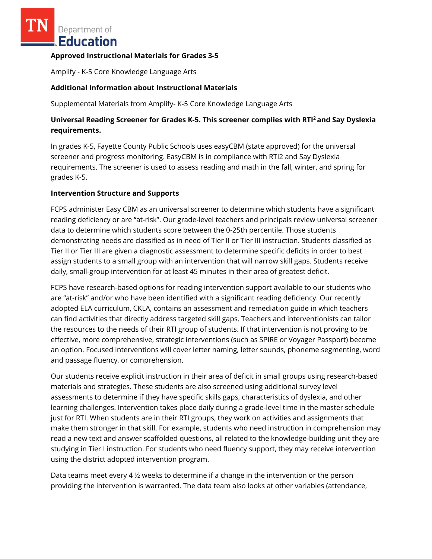#### **Approved Instructional Materials for Grades 3-5**

Amplify - K-5 Core Knowledge Language Arts

#### **Additional Information about Instructional Materials**

Supplemental Materials from Amplify- K-5 Core Knowledge Language Arts

## **Universal Reading Screener for Grades K-5. This screener complies with RTI<sup>2</sup>and Say Dyslexia requirements.**

In grades K-5, Fayette County Public Schools uses easyCBM (state approved) for the universal screener and progress monitoring. EasyCBM is in compliance with RTI2 and Say Dyslexia requirements. The screener is used to assess reading and math in the fall, winter, and spring for grades K-5.

#### **Intervention Structure and Supports**

FCPS administer Easy CBM as an universal screener to determine which students have a significant reading deficiency or are "at-risk". Our grade-level teachers and principals review universal screener data to determine which students score between the 0-25th percentile. Those students demonstrating needs are classified as in need of Tier II or Tier III instruction. Students classified as Tier II or Tier III are given a diagnostic assessment to determine specific deficits in order to best assign students to a small group with an intervention that will narrow skill gaps. Students receive daily, small-group intervention for at least 45 minutes in their area of greatest deficit.

FCPS have research-based options for reading intervention support available to our students who are "at-risk" and/or who have been identified with a significant reading deficiency. Our recently adopted ELA curriculum, CKLA, contains an assessment and remediation guide in which teachers can find activities that directly address targeted skill gaps. Teachers and interventionists can tailor the resources to the needs of their RTI group of students. If that intervention is not proving to be effective, more comprehensive, strategic interventions (such as SPIRE or Voyager Passport) become an option. Focused interventions will cover letter naming, letter sounds, phoneme segmenting, word and passage fluency, or comprehension.

Our students receive explicit instruction in their area of deficit in small groups using research-based materials and strategies. These students are also screened using additional survey level assessments to determine if they have specific skills gaps, characteristics of dyslexia, and other learning challenges. Intervention takes place daily during a grade-level time in the master schedule just for RTI. When students are in their RTI groups, they work on activities and assignments that make them stronger in that skill. For example, students who need instruction in comprehension may read a new text and answer scaffolded questions, all related to the knowledge-building unit they are studying in Tier I instruction. For students who need fluency support, they may receive intervention using the district adopted intervention program.

Data teams meet every 4 ½ weeks to determine if a change in the intervention or the person providing the intervention is warranted. The data team also looks at other variables (attendance,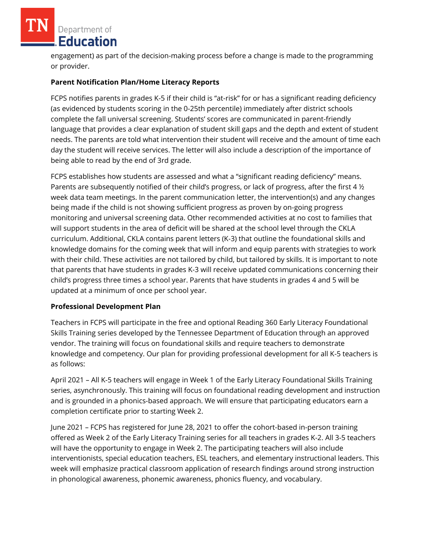engagement) as part of the decision-making process before a change is made to the programming or provider.

### **Parent Notification Plan/Home Literacy Reports**

FCPS notifies parents in grades K-5 if their child is "at-risk" for or has a significant reading deficiency (as evidenced by students scoring in the 0-25th percentile) immediately after district schools complete the fall universal screening. Students' scores are communicated in parent-friendly language that provides a clear explanation of student skill gaps and the depth and extent of student needs. The parents are told what intervention their student will receive and the amount of time each day the student will receive services. The letter will also include a description of the importance of being able to read by the end of 3rd grade.

FCPS establishes how students are assessed and what a "significant reading deficiency" means. Parents are subsequently notified of their child's progress, or lack of progress, after the first 4  $\frac{1}{2}$ week data team meetings. In the parent communication letter, the intervention(s) and any changes being made if the child is not showing sufficient progress as proven by on-going progress monitoring and universal screening data. Other recommended activities at no cost to families that will support students in the area of deficit will be shared at the school level through the CKLA curriculum. Additional, CKLA contains parent letters (K-3) that outline the foundational skills and knowledge domains for the coming week that will inform and equip parents with strategies to work with their child. These activities are not tailored by child, but tailored by skills. It is important to note that parents that have students in grades K-3 will receive updated communications concerning their child's progress three times a school year. Parents that have students in grades 4 and 5 will be updated at a minimum of once per school year.

# **Professional Development Plan**

Teachers in FCPS will participate in the free and optional Reading 360 Early Literacy Foundational Skills Training series developed by the Tennessee Department of Education through an approved vendor. The training will focus on foundational skills and require teachers to demonstrate knowledge and competency. Our plan for providing professional development for all K-5 teachers is as follows:

April 2021 – All K-5 teachers will engage in Week 1 of the Early Literacy Foundational Skills Training series, asynchronously. This training will focus on foundational reading development and instruction and is grounded in a phonics-based approach. We will ensure that participating educators earn a completion certificate prior to starting Week 2.

June 2021 – FCPS has registered for June 28, 2021 to offer the cohort-based in-person training offered as Week 2 of the Early Literacy Training series for all teachers in grades K-2. All 3-5 teachers will have the opportunity to engage in Week 2. The participating teachers will also include interventionists, special education teachers, ESL teachers, and elementary instructional leaders. This week will emphasize practical classroom application of research findings around strong instruction in phonological awareness, phonemic awareness, phonics fluency, and vocabulary.